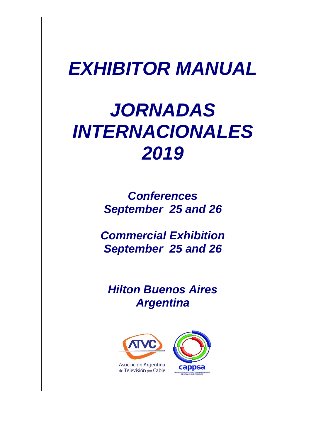## *EXHIBITOR MANUAL*

# *JORNADAS INTERNACIONALES 2019*

*Conferences September 25 and 26*

*Commercial Exhibition September 25 and 26*

*Hilton Buenos Aires Argentina*

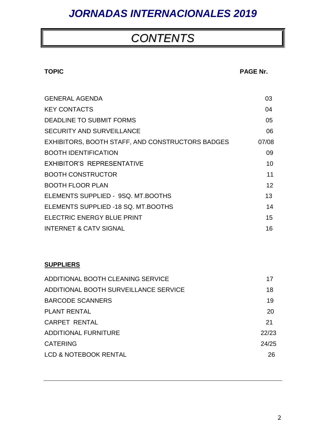### *CONTENTS*

#### **TOPIC PAGE Nr.**

| <b>GENERAL AGENDA</b>                            | 03    |
|--------------------------------------------------|-------|
| <b>KEY CONTACTS</b>                              | 04    |
| DEADLINE TO SUBMIT FORMS                         | 05    |
| <b>SECURITY AND SURVEILLANCE</b>                 | 06    |
| EXHIBITORS, BOOTH STAFF, AND CONSTRUCTORS BADGES | 07/08 |
| <b>BOOTH IDENTIFICATION</b>                      | 09    |
| <b>EXHIBITOR'S REPRESENTATIVE</b>                | 10    |
| <b>BOOTH CONSTRUCTOR</b>                         | 11    |
| <b>BOOTH FLOOR PLAN</b>                          | 12    |
| ELEMENTS SUPPLIED - 9SQ. MT.BOOTHS               | 13    |
| ELEMENTS SUPPLIED -18 SQ. MT.BOOTHS              | 14    |
| ELECTRIC ENERGY BLUE PRINT                       | 15    |
| <b>INTERNET &amp; CATV SIGNAL</b>                | 16    |

### **SUPPLIERS**

| ADDITIONAL BOOTH CLEANING SERVICE     | 17    |
|---------------------------------------|-------|
| ADDITIONAL BOOTH SURVEILLANCE SERVICE | 18    |
| <b>BARCODE SCANNERS</b>               | 19    |
| <b>PLANT RENTAL</b>                   | 20    |
| <b>CARPET RENTAL</b>                  | 21    |
| <b>ADDITIONAL FURNITURE</b>           | 22/23 |
| <b>CATERING</b>                       | 24/25 |
| LCD & NOTEBOOK RENTAL                 | 26    |
|                                       |       |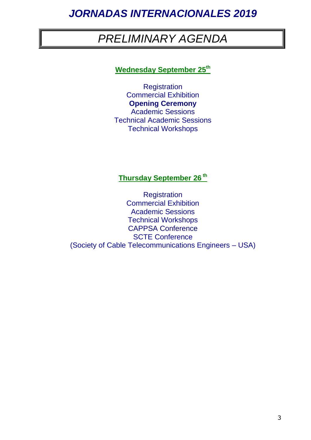### *PRELIMINARY AGENDA*

### **Wednesday September 25th**

**Registration** Commercial Exhibition **Opening Ceremony** Academic Sessions Technical Academic Sessions Technical Workshops

### **Thursday September 26 th**

**Registration** Commercial Exhibition Academic Sessions Technical Workshops CAPPSA Conference SCTE Conference (Society of Cable Telecommunications Engineers – USA)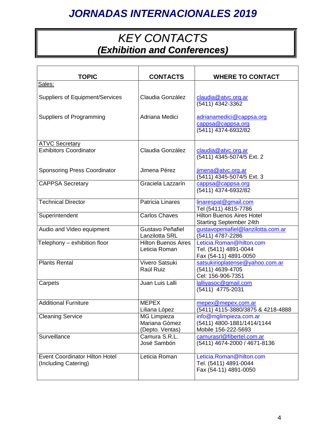### *KEY CONTACTS (Exhibition and Conferences)*

| <b>TOPIC</b>                                                  | <b>CONTACTS</b>                                 | <b>WHERE TO CONTACT</b>                                                     |
|---------------------------------------------------------------|-------------------------------------------------|-----------------------------------------------------------------------------|
| Sales:                                                        |                                                 |                                                                             |
| <b>Suppliers of Equipment/Services</b>                        | Claudia González                                | claudia@atvc.org.ar<br>(5411) 4342-3362                                     |
| Suppliers of Programming                                      | Adriana Medici                                  | adrianamedici@cappsa.org<br>cappsa@cappsa.org<br>(5411) 4374-6932/82        |
| <b>ATVC Secretary</b>                                         |                                                 |                                                                             |
| <b>Exhibitors Coordinator</b>                                 | Claudia González                                | claudia@atvc.org.ar<br>(5411) 4345-5074/5 Ext. 2                            |
| <b>Sponsoring Press Coordinator</b>                           | Jimena Pérez                                    | jimena@atvc.org.ar<br>(5411) 4345-5074/5 Ext. 3                             |
| <b>CAPPSA Secretary</b>                                       | Graciela Lazzarín                               | cappsa@cappsa.org<br>(5411) 4374-6932/82                                    |
| <b>Technical Director</b>                                     | <b>Patricia Linares</b>                         | linarespat@gmail.com<br>Tel (5411) 4815-7786                                |
| Superintendent                                                | <b>Carlos Chaves</b>                            | <b>Hilton Buenos Aires Hotel</b><br><b>Starting September 24th</b>          |
| Audio and Video equipment                                     | Gustavo Peñafiel<br>Lanzilotta SRL              | gustavopeniafiel@lanzilotta.com.ar<br>(5411) 4787-2286                      |
| Telephony - exhibition floor                                  | <b>Hilton Buenos Aires</b><br>Leticia Roman     | Leticia.Roman@hilton.com<br>Tel. (5411) 4891-0044<br>Fax (54-11) 4891-0050  |
| <b>Plants Rental</b>                                          | Vivero Satsuki<br>Raúl Ruiz                     | satsukirioplatense@yahoo.com.ar<br>(5411) 4639-4705<br>Cel: 156-906-7351    |
| Carpets                                                       | Juan Luis Lalli                                 | lalliyasoc@gmail.com<br>(5411) 4775-2031                                    |
| <b>Additional Furniture</b>                                   | <b>MEPEX</b><br>Liliana López                   | mepex@mepex.com.ar<br>(5411) 4115-3880/3875 & 4218-4888                     |
| <b>Cleaning Service</b>                                       | MG Limpieza<br>Mariana Gòmez<br>(Depto. Ventas) | info@mglimpieza.com.ar<br>(5411) 4800-1881/1414/1144<br>Mobile 156-222-5693 |
| Surveillance                                                  | Camura S.R.L.<br>José Sambón                    | camurasrl@fibertel.com.ar<br>(5411) 4674-2000 / 4671-8136                   |
| <b>Event Coordinator Hilton Hotel</b><br>(Including Catering) | Leticia Roman                                   | Leticia.Roman@hilton.com<br>Tel. (5411) 4891-0044<br>Fax (54-11) 4891-0050  |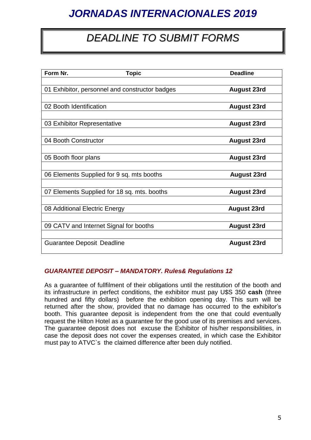### *DEADLINE TO SUBMIT FORMS*

| Form Nr.                                       | <b>Topic</b> | <b>Deadline</b>    |
|------------------------------------------------|--------------|--------------------|
|                                                |              |                    |
| 01 Exhibitor, personnel and constructor badges |              | <b>August 23rd</b> |
|                                                |              |                    |
| 02 Booth Identification                        |              | <b>August 23rd</b> |
|                                                |              |                    |
| 03 Exhibitor Representative                    |              | <b>August 23rd</b> |
|                                                |              |                    |
| 04 Booth Constructor                           |              | <b>August 23rd</b> |
|                                                |              |                    |
| 05 Booth floor plans                           |              | <b>August 23rd</b> |
|                                                |              |                    |
| 06 Elements Supplied for 9 sq. mts booths      |              | <b>August 23rd</b> |
|                                                |              |                    |
| 07 Elements Supplied for 18 sq. mts. booths    |              | <b>August 23rd</b> |
|                                                |              |                    |
| 08 Additional Electric Energy                  |              | <b>August 23rd</b> |
|                                                |              |                    |
| 09 CATV and Internet Signal for booths         |              | <b>August 23rd</b> |
|                                                |              |                    |
| <b>Guarantee Deposit Deadline</b>              |              | <b>August 23rd</b> |
|                                                |              |                    |

#### *GUARANTEE DEPOSIT – MANDATORY. Rules& Regulations 12*

As a guarantee of fullfilment of their obligations until the restitution of the booth and its infrastructure in perfect conditions, the exhibitor must pay U\$S 350 **cash** (three hundred and fifty dollars) before the exhibition opening day. This sum will be returned after the show, provided that no damage has occurred to the exhibitor's booth. This guarantee deposit is independent from the one that could eventually request the Hilton Hotel as a guarantee for the good use of its premises and services. The guarantee deposit does not excuse the Exhibitor of his/her responsibilities, in case the deposit does not cover the expenses created, in which case the Exhibitor must pay to ATVC`s the claimed difference after been duly notified.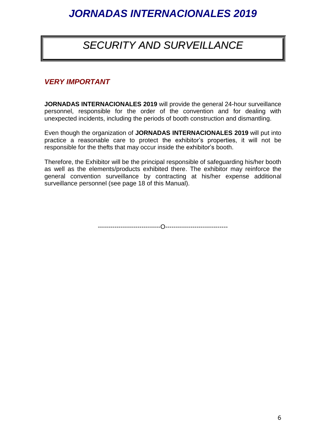### *SECURITY AND SURVEILLANCE*

### *VERY IMPORTANT*

**JORNADAS INTERNACIONALES 2019** will provide the general 24-hour surveillance personnel, responsible for the order of the convention and for dealing with unexpected incidents, including the periods of booth construction and dismantling.

Even though the organization of **JORNADAS INTERNACIONALES 2019** will put into practice a reasonable care to protect the exhibitor's properties, it will not be responsible for the thefts that may occur inside the exhibitor's booth.

Therefore, the Exhibitor will be the principal responsible of safeguarding his/her booth as well as the elements/products exhibited there. The exhibitor may reinforce the general convention surveillance by contracting at his/her expense additional surveillance personnel (see page 18 of this Manual).

------------------------------O------------------------------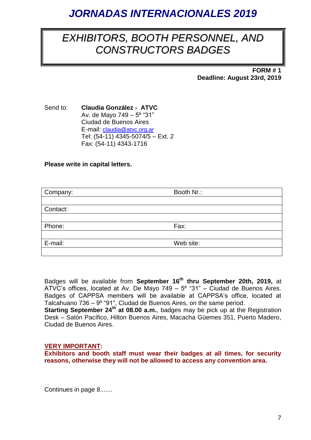### *EXHIBITORS, BOOTH PERSONNEL, AND CONSTRUCTORS BADGES*

**FORM # 1 Deadline: August 23rd, 2019**

Send to: **Claudia González - ATVC** Av. de Mayo 749 – 5º "31" Ciudad de Buenos Aires E-mail: [claudia@atvc.org.ar](mailto:claudia@atvc.org.ar) Tel: (54-11) 4345-5074/5 – Ext. 2 Fax: (54-11) 4343-1716

#### **Please write in capital letters.**

| Company: | Booth Nr.: |
|----------|------------|
|          |            |
| Contact: |            |
|          |            |
| Phone:   | Fax:       |
|          |            |
| E-mail:  | Web site:  |
|          |            |

Badges will be available from **September 16th thru September 20th, 2019,** at ATVC's offices, located at Av. De Mayo 749 –  $5^{\circ}$  "31" – Ciudad de Buenos Aires. Badges of CAPPSA members will be available at CAPPSA's office, located at Talcahuano 736 – 9º "91", Ciudad de Buenos Aires, on the same period. **Starting September 24th at 08.00 a.m.**, badges may be pick up at the Registration Desk – Salón Pacífico, Hilton Buenos Aires, Macacha Güemes 351, Puerto Madero, Ciudad de Buenos Aires.

#### **VERY IMPORTANT:**

**Exhibitors and booth staff must wear their badges at all times, for security reasons, otherwise they will not be allowed to access any convention area.** 

Continues in page 8.......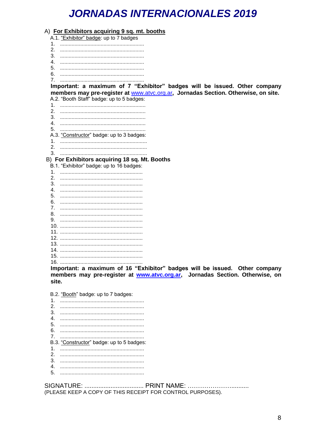|         | A) For Exhibitors acquiring 9 sq. mt. booths                                       |
|---------|------------------------------------------------------------------------------------|
|         | A.1. "Exhibitor" badge: up to 7 badges                                             |
| 1.      |                                                                                    |
| $2_{-}$ |                                                                                    |
| 3.      |                                                                                    |
| 4       |                                                                                    |
| 5.      |                                                                                    |
| 6.      |                                                                                    |
| 7.      |                                                                                    |
|         | Important: a maximum of 7 "Exhibitor" badges will be issued. Other company         |
|         | members may pre-register at www.atvc.org.ar, Jornadas Section. Otherwise, on site. |
|         | A.2. "Booth Staff" badge: up to 5 badges:                                          |
| 1.      |                                                                                    |
| 2.      |                                                                                    |
|         |                                                                                    |
| 4       |                                                                                    |
|         |                                                                                    |
|         | A.3. "Constructor" badge: up to 3 badges:                                          |
| 1.      |                                                                                    |
| 2.      |                                                                                    |
|         |                                                                                    |
|         | B) For Exhibitors acquiring 18 sq. Mt. Booths                                      |
|         | B.1. "Exhibitor" badge: up to 16 badges:                                           |
| 1.      |                                                                                    |
| 2.      |                                                                                    |
|         |                                                                                    |
| 4.      |                                                                                    |
| 5.      |                                                                                    |
| 6.      |                                                                                    |
|         |                                                                                    |
| 8.      |                                                                                    |
| 9.      |                                                                                    |
|         |                                                                                    |
|         |                                                                                    |
|         |                                                                                    |
|         |                                                                                    |
|         |                                                                                    |
|         |                                                                                    |
|         |                                                                                    |
|         | Important: a maximum of 16 "Exhibitor" badges will be issued. Other company        |
|         | members may pre-register at www.atvc.org.ar, Jornadas Section. Otherwise, on       |
| site.   |                                                                                    |

B.2. "Booth" badge: up to 7 badges: B.3. "Constructor" badge: up to 5 badges:  $3.$ 4. 5.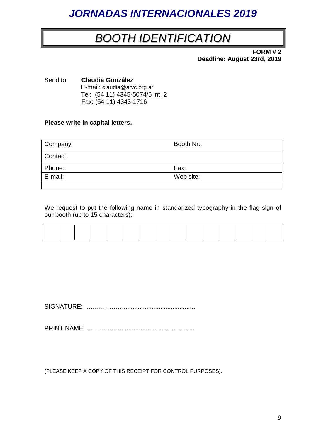### *BOOTH IDENTIFICATION*

**FORM # 2 Deadline: August 23rd, 2019**

Send to: **Claudia González** E-mail: claudia@atvc.org.ar Tel: (54 11) 4345-5074/5 int. 2 Fax: (54 11) 4343-1716

#### **Please write in capital letters.**

| Company: | Booth Nr.: |
|----------|------------|
| Contact: |            |
| Phone:   | Fax:       |
| E-mail:  | Web site:  |
|          |            |

We request to put the following name in standarized typography in the flag sign of our booth (up to 15 characters):

SIGNATURE: ……………….........................................

PRINT NAME: ……………............................................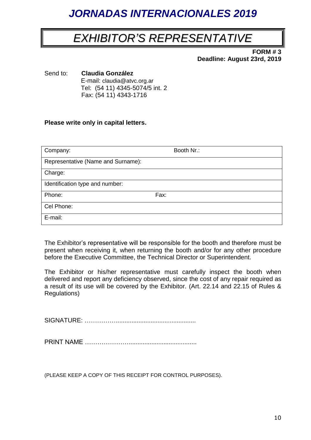### *EXHIBITOR'S REPRESENTATIVE*

**FORM # 3 Deadline: August 23rd, 2019**

Send to: **Claudia González** E-mail: claudia@atvc.org.ar Tel: (54 11) 4345-5074/5 int. 2 Fax: (54 11) 4343-1716

#### **Please write only in capital letters.**

| Company:                           | Booth Nr.: |
|------------------------------------|------------|
| Representative (Name and Surname): |            |
| Charge:                            |            |
| Identification type and number:    |            |
| Phone:                             | Fax:       |
| Cel Phone:                         |            |
| E-mail:                            |            |

The Exhibitor's representative will be responsible for the booth and therefore must be present when receiving it, when returning the booth and/or for any other procedure before the Executive Committee, the Technical Director or Superintendent.

The Exhibitor or his/her representative must carefully inspect the booth when delivered and report any deficiency observed, since the cost of any repair required as a result of its use will be covered by the Exhibitor. (Art. 22.14 and 22.15 of Rules & Regulations)

SIGNATURE: ……………..............................................

PRINT NAME ………………….......................................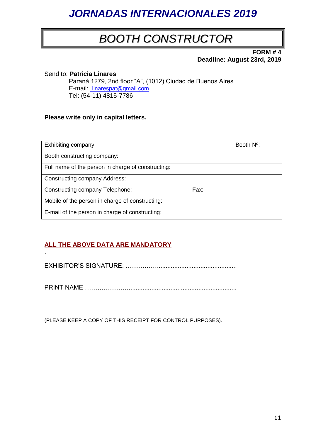### *BOOTH CONSTRUCTOR*

**FORM # 4 Deadline: August 23rd, 2019**

Send to: **Patricia Linares** Paraná 1279, 2nd floor "A", (1012) Ciudad de Buenos Aires E-mail: [linarespat@gmail.com](mailto:%20linarespat@gmail.com) Tel: (54-11) 4815-7786

#### **Please write only in capital letters.**

| Exhibiting company:                                |      | Booth N <sup>o</sup> : |
|----------------------------------------------------|------|------------------------|
| Booth constructing company:                        |      |                        |
| Full name of the person in charge of constructing: |      |                        |
| <b>Constructing company Address:</b>               |      |                        |
| Constructing company Telephone:                    | Fax: |                        |
| Mobile of the person in charge of constructing:    |      |                        |
| E-mail of the person in charge of constructing:    |      |                        |

#### **ALL THE ABOVE DATA ARE MANDATORY**

.

EXHIBITOR'S SIGNATURE: ……………..............................................

PRINT NAME …………………..............................................................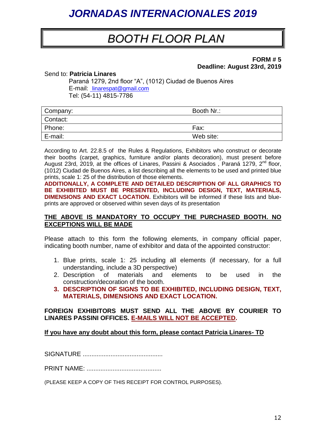### *BOOTH FLOOR PLAN*

#### **FORM # 5 Deadline: August 23rd, 2019**

#### Send to: **Patricia Linares**

 Paraná 1279, 2nd floor "A", (1012) Ciudad de Buenos Aires E-mail: [linarespat@gmail.com](mailto:%20linarespat@gmail.com) Tel: (54-11) 4815-7786

| Company: | Booth Nr.: |
|----------|------------|
| Contact: |            |
| Phone:   | Fax:       |
| E-mail:  | Web site:  |

According to Art. 22.8.5 of the Rules & Regulations, Exhibitors who construct or decorate their booths (carpet, graphics, furniture and/or plants decoration), must present before August 23rd, 2019, at the offices of Linares, Passini & Asociados, Paraná 1279, 2<sup>nd</sup> floor, (1012) Ciudad de Buenos Aires, a list describing all the elements to be used and printed blue prints, scale 1: 25 of the distribution of those elements.

**ADDITIONALLY, A COMPLETE AND DETAILED DESCRIPTION OF ALL GRAPHICS TO BE EXHIBITED MUST BE PRESENTED, INCLUDING DESIGN, TEXT, MATERIALS, DIMENSIONS AND EXACT LOCATION.** Exhibitors will be informed if these lists and blueprints are approved or observed within seven days of its presentation

#### **THE ABOVE IS MANDATORY TO OCCUPY THE PURCHASED BOOTH. NO EXCEPTIONS WILL BE MADE**

Please attach to this form the following elements, in company official paper, indicating booth number, name of exhibitor and data of the appointed constructor:

- 1. Blue prints, scale 1: 25 including all elements (if necessary, for a full understanding, include a 3D perspective)
- 2. Description of materials and elements to be used in the construction/decoration of the booth.
- **3. DESCRIPTION OF SIGNS TO BE EXHIBITED, INCLUDING DESIGN, TEXT, MATERIALS, DIMENSIONS AND EXACT LOCATION.**

#### **FOREIGN EXHIBITORS MUST SEND ALL THE ABOVE BY COURIER TO LINARES PASSINI OFFICES. E-MAILS WILL NOT BE ACCEPTED.**

#### **If you have any doubt about this form, please contact Patricia Linares- TD**

SIGNATURE ..............................................

PRINT NAME: ...........................................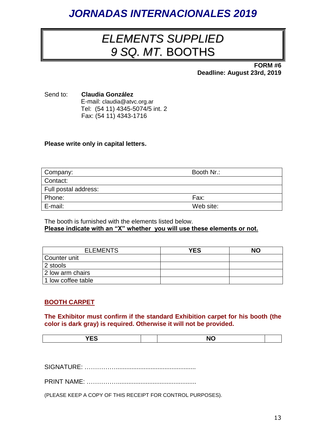### *ELEMENTS SUPPLIED 9 SQ. MT.* BOOTHS

**FORM #6 Deadline: August 23rd, 2019**

Send to: **Claudia González** E-mail: claudia@atvc.org.ar Tel: (54 11) 4345-5074/5 int. 2 Fax: (54 11) 4343-1716

#### **Please write only in capital letters.**

| Company:             | Booth Nr.: |
|----------------------|------------|
| Contact:             |            |
| Full postal address: |            |
| Phone:               | Fax:       |
| E-mail:              | Web site:  |

The booth is furnished with the elements listed below. **Please indicate with an "X" whether you will use these elements or not.**

| <b>ELEMENTS</b>    | <b>YES</b> | <b>NO</b> |
|--------------------|------------|-----------|
| Counter unit       |            |           |
| 2 stools           |            |           |
| 2 low arm chairs   |            |           |
| 1 low coffee table |            |           |

#### **BOOTH CARPET**

**The Exhibitor must confirm if the standard Exhibition carpet for his booth (the color is dark gray) is required. Otherwise it will not be provided.**

SIGNATURE: ……………..............................................

PRINT NAME: **12000**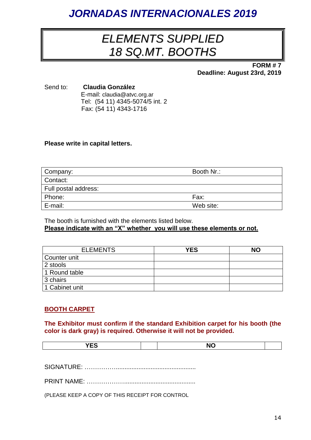### *ELEMENTS SUPPLIED 18 SQ.MT. BOOTHS*

**FORM # 7 Deadline: August 23rd, 2019**

Send to: **Claudia González** E-mail: claudia@atvc.org.ar Tel: (54 11) 4345-5074/5 int. 2 Fax: (54 11) 4343-1716

#### **Please write in capital letters.**

| Company:             | Booth Nr.: |
|----------------------|------------|
| Contact:             |            |
| Full postal address: |            |
| Phone:               | Fax:       |
| E-mail:              | Web site:  |

The booth is furnished with the elements listed below. **Please indicate with an "X" whether you will use these elements or not.** 

| <b>ELEMENTS</b> | <b>YES</b> | <b>NO</b> |
|-----------------|------------|-----------|
| Counter unit    |            |           |
| 2 stools        |            |           |
| 1 Round table   |            |           |
| 3 chairs        |            |           |
| 1 Cabinet unit  |            |           |

#### **BOOTH CARPET**

**The Exhibitor must confirm if the standard Exhibition carpet for his booth (the color is dark gray) is required. Otherwise it will not be provided.**

|--|--|

SIGNATURE: ……………..............................................

PRINT NAME: ………………………………………………………………

(PLEASE KEEP A COPY OF THIS RECEIPT FOR CONTROL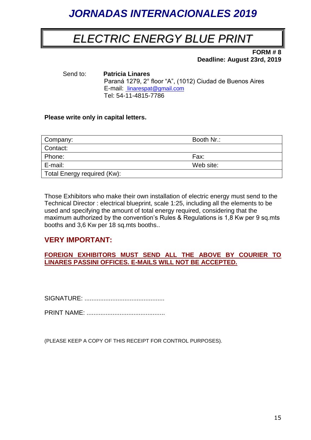### *ELECTRIC ENERGY BLUE PRINT*

**FORM # 8 Deadline: August 23rd, 2019** 

Send to: **Patricia Linares** Paraná 1279, 2° floor "A", (1012) Ciudad de Buenos Aires E-mail: [linarespat@gmail.com](mailto:%20linarespat@gmail.com) Tel: 54-11-4815-7786

#### **Please write only in capital letters.**

| Company:                    | Booth Nr.: |
|-----------------------------|------------|
| Contact:                    |            |
| Phone:                      | Fax:       |
| E-mail:                     | Web site:  |
| Total Energy required (Kw): |            |

Those Exhibitors who make their own installation of electric energy must send to the Technical Director : electrical blueprint, scale 1:25, including all the elements to be used and specifying the amount of total energy required, considering that the maximum authorized by the convention's Rules & Regulations is 1,8 Kw per 9 sq.mts booths and 3,6 Kw per 18 sq.mts booths..

#### **VERY IMPORTANT:**

**FOREIGN EXHIBITORS MUST SEND ALL THE ABOVE BY COURIER TO LINARES PASSINI OFFICES. E-MAILS WILL NOT BE ACCEPTED.**

SIGNATURE: ..............................................

PRINT NAME: .............................................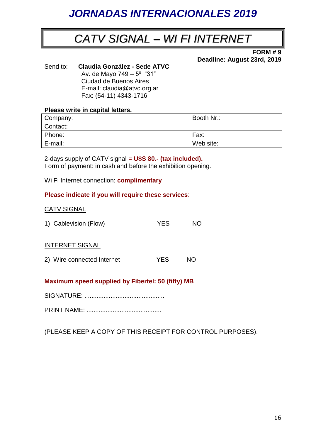### *CATV SIGNAL – WI FI INTERNET*

**FORM # 9 Deadline: August 23rd, 2019**

Send to: **Claudia González - Sede ATVC** Av. de Mayo 749 – 5º "31" Ciudad de Buenos Aires E-mail: claudia@atvc.org.ar Fax: (54-11) 4343-1716

#### **Please write in capital letters.**

| Company: | Booth Nr.: |
|----------|------------|
| Contact: |            |
| Phone:   | Fax:       |
| E-mail:  | Web site:  |

2-days supply of CATV signal = **U\$S 80.- (tax included).** Form of payment: in cash and before the exhibition opening.

Wi Fi Internet connection: **complimentary**

#### **Please indicate if you will require these services**:

#### CATV SIGNAL

| 1) Cablevision (Flow)      | YES. | NO. |
|----------------------------|------|-----|
| <b>INTERNET SIGNAL</b>     |      |     |
| 2) Wire connected Internet | YFS. | NO. |

#### **Maximum speed supplied by Fibertel: 50 (fifty) MB**

SIGNATURE: ..............................................

PRINT NAME: ...........................................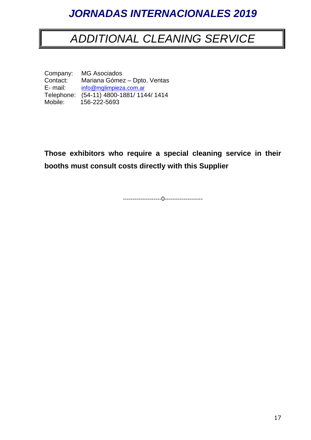### *ADDITIONAL CLEANING SERVICE*

Company: MG Asociados<br>Contact: Mariana Góme Contact: Mariana Gómez – Dpto. Ventas<br>E- mail: info@mglimpieza.com.ar info@mglimpiez[a.com.ar](mailto:mgasociados@sinectis.com.ar) Telephone: (54-11) 4800-1881/ 1144/ 1414<br>Mobile: 156-222-5693 Mobile: 156-222-5693

**Those exhibitors who require a special cleaning service in their booths must consult costs directly with this Supplier**

--------------------0--------------------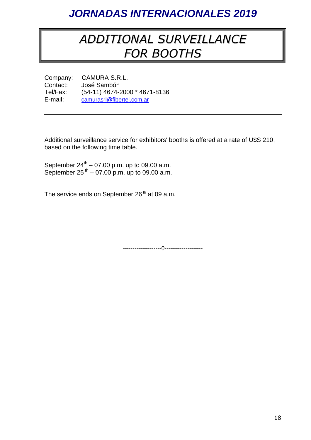### *ADDITIONAL SURVEILLANCE FOR BOOTHS*

Company: CAMURA S.R.L.<br>Contact: José Sambón José Sambón Tel/Fax: (54-11) 4674-2000 \* 4671-8136<br>E-mail: camurasrl@fibertel.com.ar [camurasrl@fibertel.com.ar](mailto:camurasrl@fibertel.com.ar)

Additional surveillance service for exhibitors' booths is offered at a rate of U\$S 210, based on the following time table.

September  $24^{th} - 07.00$  p.m. up to 09.00 a.m. September  $25^{th} - 07.00$  p.m. up to 09.00 a.m.

The service ends on September 26<sup>th</sup> at 09 a.m.

--------------------0--------------------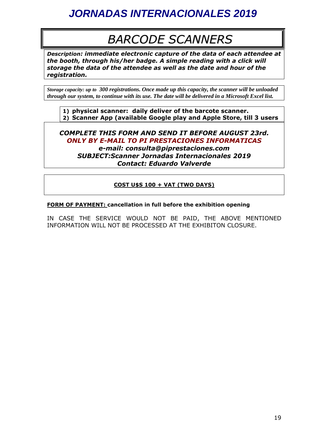## *BARCODE SCANNERS*

*Description: immediate electronic capture of the data of each attendee at the booth, through his/her badge. A simple reading with a click will storage the data of the attendee as well as the date and hour of the registration.*

*Storage capacity: up to 300 registrations. Once made up this capacity, the scanner will be unloaded through our system, to continue with its use. The date will be delivered in a Microsoft Excel list.*

**1) physical scanner: daily deliver of the barcote scanner. 2) Scanner App (available Google play and Apple Store, till 3 users**

*COMPLETE THIS FORM AND SEND IT BEFORE AUGUST 23rd. ONLY BY E-MAIL TO PI PRESTACIONES INFORMATICAS e-mail: consulta@piprestaciones.com*

*SUBJECT:Scanner Jornadas Internacionales 2019 Contact: Eduardo Valverde*

#### **COST U\$S 100 + VAT (TWO DAYS)**

#### **FORM OF PAYMENT: cancellation in full before the exhibition opening**

IN CASE THE SERVICE WOULD NOT BE PAID, THE ABOVE MENTIONED INFORMATION WILL NOT BE PROCESSED AT THE EXHIBITON CLOSURE.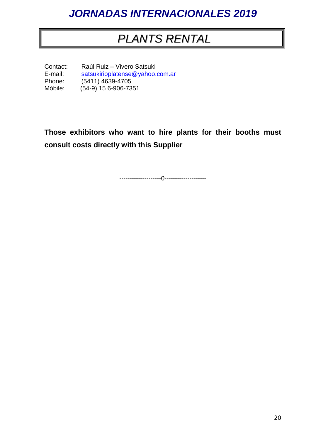### *PLANTS RENTAL*

Contact: Raúl Ruiz – Vivero Satsuki<br>E-mail: satsukirioplatense@vahoo. [satsukirioplatense@yahoo.com.ar](mailto:satsukirioplatense@yahoo.com.ar) Phone: (5411) 4639-4705<br>Móbile: (54-9) 15 6-906-73  $(54-9)$  15 6-906-7351

**Those exhibitors who want to hire plants for their booths must consult costs directly with this Supplier**

--------------------0--------------------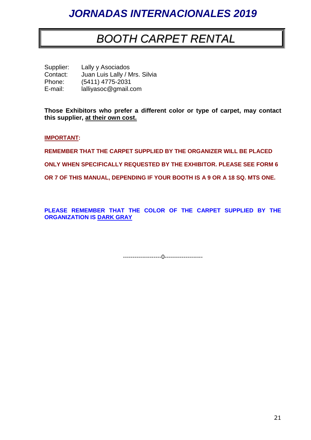### *BOOTH CARPET RENTAL*

Supplier: Lally y Asociados<br>Contact: Juan Luis Lally / N Juan Luis Lally / Mrs. Silvia Phone: (5411) 4775-2031<br>E-mail: lalliyasoc@gmail.c lalliyasoc@gmail.com

**Those Exhibitors who prefer a different color or type of carpet, may contact this supplier, at their own cost.**

**IMPORTANT:**

**REMEMBER THAT THE CARPET SUPPLIED BY THE ORGANIZER WILL BE PLACED** 

**ONLY WHEN SPECIFICALLY REQUESTED BY THE EXHIBITOR. PLEASE SEE FORM 6** 

**OR 7 OF THIS MANUAL, DEPENDING IF YOUR BOOTH IS A 9 OR A 18 SQ. MTS ONE.**

**PLEASE REMEMBER THAT THE COLOR OF THE CARPET SUPPLIED BY THE ORGANIZATION IS DARK GRAY**

--------------------0--------------------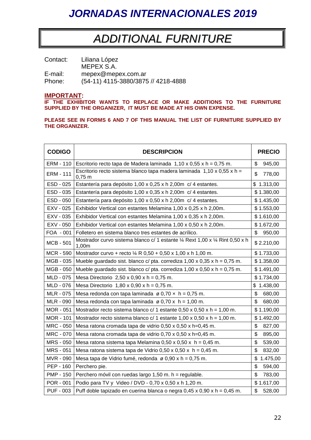### *ADDITIONAL FURNITURE*

| Contact: | Liliana López                       |
|----------|-------------------------------------|
|          | MEPEX S.A.                          |
| E-mail:  | mepex@mepex.com.ar                  |
| Phone:   | (54-11) 4115-3880/3875 // 4218-4888 |

#### **IMPORTANT:**

**IF THE EXHIBITOR WANTS TO REPLACE OR MAKE ADDITIONS TO THE FURNITURE SUPPLIED BY THE ORGANIZER, IT MUST BE MADE AT HIS OWN EXPENSE.**

#### **PLEASE SEE IN FORMS 6 AND 7 OF THIS MANUAL THE LIST OF FURNITURE SUPPLIED BY THE ORGANIZER.**

| <b>CODIGO</b>    | <b>DESCRIPCION</b>                                                                                         | <b>PRECIO</b>  |
|------------------|------------------------------------------------------------------------------------------------------------|----------------|
| <b>ERM - 110</b> | Escritorio recto tapa de Madera laminada $1,10 \times 0,55 \times h = 0,75$ m.                             | \$<br>945,00   |
| <b>ERM - 111</b> | Escritorio recto sistema blanco tapa madera laminada $1,10 \times 0,55 \times h =$<br>$0,75 \; m$          | \$<br>778,00   |
| ESD - 025        | Estantería para depósito 1,00 x 0,25 x h 2,00m c/ 4 estantes.                                              | \$1.313,00     |
| ESD - 035        | Estantería para depósito 1,00 x 0,35 x h 2,00m c/ 4 estantes.                                              | \$1.380,00     |
| ESD - 050        | Estantería para depósito 1,00 x 0,50 x h 2,00m c/ 4 estantes.                                              | \$1.435,00     |
| EXV - 025        | Exhibidor Vertical con estantes Melamina 1,00 x 0,25 x h 2,00m.                                            | \$1.553,00     |
| EXV - 035        | Exhibidor Vertical con estantes Melamina 1,00 x 0,35 x h 2,00m.                                            | \$1.610,00     |
| EXV - 050        | Exhibidor Vertical con estantes Melamina 1,00 x 0,50 x h 2,00m.                                            | \$1.672,00     |
| FOA - 001        | Folletero en sistema blanco tres estantes de acrílico.                                                     | \$<br>950,00   |
| <b>MCB - 501</b> | Mostrador curvo sistema blanco c/ 1 estante $\frac{1}{4}$ Rext 1,00 x $\frac{1}{4}$ Rint 0,50 x h<br>1,00m | \$2.210,00     |
| <b>MCR - 590</b> | Mostrador curvo + recto $\frac{1}{4}$ R 0,50 + 0,50 x 1,00 x h 1,00 m.                                     | \$1.733,00     |
| MGB - 035        | Mueble guardado sist. blanco c/ pta. corrediza $1,00 \times 0,35 \times h = 0,75$ m.                       | \$1.358,00     |
| MGB - 050        | Mueble guardado sist. blanco c/ pta. corrediza $1,00 \times 0,50 \times h = 0,75$ m.                       | \$1.491,00     |
| MLD - 075        | Mesa Directorio $2,50 \times 0,90 \times h = 0,75 \text{ m}$ .                                             | \$1.734,00     |
| MLD - 076        | Mesa Directorio $1,80 \times 0,90 \times h = 0,75 \text{ m}$ .                                             | \$<br>1.438,00 |
| MLR - 075        | Mesa redonda con tapa laminada $\varnothing$ 0,70 x h = 0,75 m.                                            | \$<br>680,00   |
| MLR - 090        | Mesa redonda con tapa laminada $\varnothing$ 0,70 x h = 1,00 m.                                            | \$<br>680,00   |
| MOR - 051        | Mostrador recto sistema blanco c/ 1 estante $0,50 \times 0,50 \times h = 1,00 \text{ m}$ .                 | \$1.190,00     |
| MOR - 101        | Mostrador recto sistema blanco c/ 1 estante $1,00 \times 0,50 \times h = 1,00 \text{ m}$ .                 | \$1.492,00     |
| <b>MRC - 050</b> | Mesa ratona cromada tapa de vidrio 0,50 x 0,50 x h=0,45 m.                                                 | \$<br>827,00   |
| MRC - 070        | Mesa ratona cromada tapa de vidrio 0,70 x 0,50 x h=0,45 m.                                                 | \$<br>895,00   |
| MRS - 050        | Mesa ratona sistema tapa Melamina 0,50 x 0,50 x $h = 0,45$ m.                                              | \$<br>539,00   |
| <b>MRS - 051</b> | Mesa ratona sistema tapa de Vidrio 0,50 x 0,50 x $h = 0,45$ m.                                             | \$<br>832,00   |
| MVR - 090        | Mesa tapa de Vidrio fumé, redonda ø 0,90 x h = 0,75 m.                                                     | \$<br>1.475,00 |
| PEP - 160        | Perchero pie.                                                                                              | \$<br>594,00   |
| <b>PMP - 150</b> | Perchero móvil con ruedas largo 1,50 m. h = regulable.                                                     | \$<br>783,00   |
| POR - 001        | Podio para TV y Video / DVD - 0,70 x 0,50 x h 1,20 m.                                                      | \$1.617,00     |
| <b>PUF - 003</b> | Puff doble tapizado en cuerina blanca o negra $0,45 \times 0,90 \times h = 0,45 \text{ m}$ .               | \$<br>528,00   |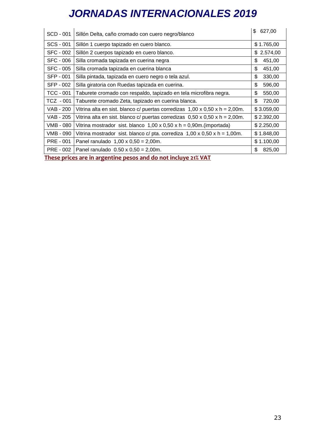| \$1.765,00<br>SCS - 001<br>Sillón 1 cuerpo tapizado en cuero blanco.<br><b>SFC - 002</b><br>\$2.574,00<br>Sillón 2 cuerpos tapizado en cuero blanco. |  |
|------------------------------------------------------------------------------------------------------------------------------------------------------|--|
|                                                                                                                                                      |  |
|                                                                                                                                                      |  |
| 451,00<br><b>SFC - 006</b><br>\$.<br>Silla cromada tapizada en cuerina negra                                                                         |  |
| <b>SFC - 005</b><br>\$<br>451,00<br>Silla cromada tapizada en cuerina blanca                                                                         |  |
| 330,00<br><b>SFP - 001</b><br>\$<br>Silla pintada, tapizada en cuero negro o tela azul.                                                              |  |
| SFP - 002<br>\$.<br>596,00<br>Silla giratoria con Ruedas tapizada en cuerina.                                                                        |  |
| 550,00<br>TCC - 001<br>\$<br>Taburete cromado con respaldo, tapizado en tela microfibra negra.                                                       |  |
| \$.<br>720,00<br>TCZ - 001<br>Taburete cromado Zeta, tapizado en cuerina blanca.                                                                     |  |
| <b>VAB - 200</b><br>\$3.059,00<br>Vitrina alta en sist. blanco c/ puertas corredizas $1,00 \times 0,50 \times h = 2,00m$ .                           |  |
| VAB - 205<br>\$2.392,00<br>Vitrina alta en sist. blanco c/ puertas corredizas $0,50 \times 0,50 \times h = 2,00m$ .                                  |  |
| \$2.250,00<br>VMB - 080<br>Vitrina mostrador sist. blanco $1,00 \times 0,50 \times h = 0,90$ m. (importada)                                          |  |
| VMB - 090<br>\$1.848,00<br>Vitrina mostrador sist. blanco c/ pta. corrediza $1,00 \times 0,50 \times h = 1,00m$ .                                    |  |
| \$1.100,00<br>PRE - 001<br>Panel ranulado $1,00 \times 0,50 = 2,00$ m.                                                                               |  |
| 825,00<br>PRE - 002<br>Panel ranulado $0.50 \times 0.50 = 2,00$ m.<br>\$.                                                                            |  |

**These prices are in argentine pesos and do not incluye 21% VAT**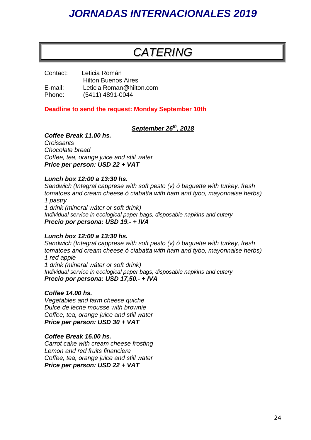### *CATERING*

Contact: Leticia Román Hilton Buenos Aires E-mail: Leticia.Roman@hilton.com Phone: (5411) 4891-0044

#### **Deadline to send the request: Monday September 10th**

#### *September 26 th , 2018*

#### *Coffee Break 11.00 hs.*

*Croissants Chocolate bread Coffee, tea, orange juice and still water Price per person: USD 22 + VAT*

#### *Lunch box 12:00 a 13:30 hs.*

*Sandwich (Integral capprese with soft pesto (v) ó baguette with turkey, fresh tomatoes and cream cheese,ó ciabatta with ham and tybo, mayonnaise herbs) 1 pastry 1 drink (mineral wáter or soft drink)*

*Individual service in ecological paper bags, disposable napkins and cutery Precio por persona: USD 19.- + IVA* 

#### *Lunch box 12:00 a 13:30 hs.*

*Sandwich (Integral capprese with soft pesto (v) ó baguette with turkey, fresh tomatoes and cream cheese,ó ciabatta with ham and tybo, mayonnaise herbs) 1 red apple 1 drink (mineral wáter or soft drink) Individual service in ecological paper bags, disposable napkins and cutery Precio por persona: USD 17,50.- + IVA* 

#### *Coffee 14.00 hs.*

*Vegetables and farm cheese quiche Dulce de leche mousse with brownie Coffee, tea, orange juice and still water Price per person: USD 30 + VAT*

#### *Coffee Break 16.00 hs.*

*Carrot cake with cream cheese frosting Lemon and red fruits financiere Coffee, tea, orange juice and still water Price per person: USD 22 + VAT*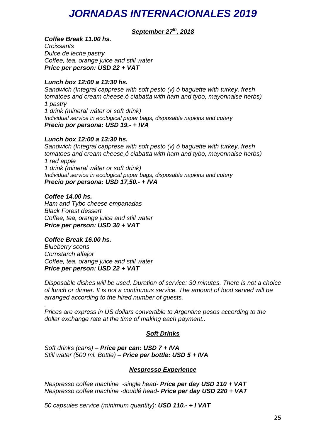#### *September 27 th, 2018*

#### *Coffee Break 11.00 hs.*

*Croissants Dulce de leche pastry Coffee, tea, orange juice and still water Price per person: USD 22 + VAT*

#### *Lunch box 12:00 a 13:30 hs.*

*Sandwich (Integral capprese with soft pesto (v) ó baguette with turkey, fresh tomatoes and cream cheese,ó ciabatta with ham and tybo, mayonnaise herbs) 1 pastry 1 drink (mineral wáter or soft drink) Individual service in ecological paper bags, disposable napkins and cutery Precio por persona: USD 19.- + IVA* 

#### *Lunch box 12:00 a 13:30 hs.*

*Sandwich (Integral capprese with soft pesto (v) ó baguette with turkey, fresh tomatoes and cream cheese,ó ciabatta with ham and tybo, mayonnaise herbs) 1 red apple 1 drink (mineral wáter or soft drink) Individual service in ecological paper bags, disposable napkins and cutery Precio por persona: USD 17,50.- + IVA* 

#### *Coffee 14.00 hs.*

*Ham and Tybo cheese empanadas Black Forest dessert Coffee, tea, orange juice and still water Price per person: USD 30 + VAT*

#### *Coffee Break 16.00 hs.*

*Blueberry scons Cornstarch alfajor Coffee, tea, orange juice and still water Price per person: USD 22 + VAT*

*Disposable dishes will be used. Duration of service: 30 minutes. There is not a choice of lunch or dinner. It is not a continuous service. The amount of food served will be arranged according to the hired number of guests.*

*. Prices are express in US dollars convertible to Argentine pesos according to the dollar exchange rate at the time of making each payment..* 

#### *Soft Drinks*

*Soft drinks (cans) – Price per can: USD 7 + IVA Still water (500 ml. Bottle) – Price per bottle: USD 5 + IVA* 

#### *Nespresso Experience*

*Nespresso coffee machine -single head- Price per day USD 110 + VAT Nespresso coffee machine -doublé head- Price per day USD 220 + VAT*

*50 capsules service (minimum quantity): USD 110.- + I VAT*